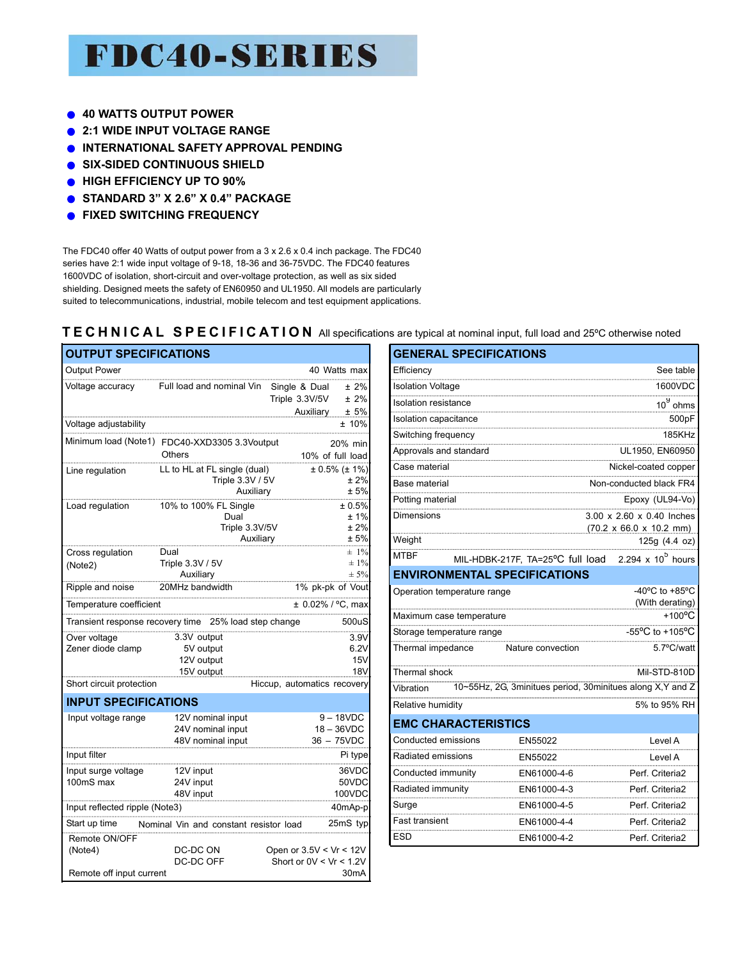# **FDC40-SERIES**

- **40 WATTS OUTPUT POWER**
- **2:1 WIDE INPUT VOLTAGE RANGE**
- **INTERNATIONAL SAFETY APPROVAL PENDING**
- **SIX-SIDED CONTINUOUS SHIELD**
- **HIGH EFFICIENCY UP TO 90%**
- **STANDARD 3" X 2.6" X 0.4" PACKAGE**
- **FIXED SWITCHING FREQUENCY**   $\bullet$

The FDC40 offer 40 Watts of output power from a 3 x 2.6 x 0.4 inch package. The FDC40 series have 2:1 wide input voltage of 9-18, 18-36 and 36-75VDC. The FDC40 features 1600VDC of isolation, short-circuit and over-voltage protection, as well as six sided shielding. Designed meets the safety of EN60950 and UL1950. All models are particularly suited to telecommunications, industrial, mobile telecom and test equipment applications.

### **TECHNICAL SPECIFICATION** All specifications are typical at nominal input, full load and 25ºC otherwise noted

| <b>OUTPUT SPECIFICATIONS</b>                         |                                                                |                                                                             |  |  |  |  |
|------------------------------------------------------|----------------------------------------------------------------|-----------------------------------------------------------------------------|--|--|--|--|
| <b>Output Power</b>                                  |                                                                | 40 Watts max                                                                |  |  |  |  |
| Voltage accuracy                                     | Full load and nominal Vin                                      | Single & Dual<br>$±2\%$<br>Triple 3.3V/5V<br>$± 2\%$                        |  |  |  |  |
| Voltage adjustability                                |                                                                | Auxiliary ± 5%<br>± 10%                                                     |  |  |  |  |
|                                                      | Minimum load (Note1) FDC40-XXD3305 3.3Voutput<br><b>Others</b> | 20% min<br>10% of full load                                                 |  |  |  |  |
| Line regulation                                      | LL to HL at FL single (dual)<br>Triple 3.3V / 5V<br>Auxiliary  | $± 0.5\%$ ( $± 1\%$ )<br>± 2%<br>± 5%                                       |  |  |  |  |
| Load regulation                                      | 10% to 100% FL Single<br>Dual<br>Triple 3.3V/5V<br>Auxiliary   | ± 0.5%<br>±1%<br>±2%<br>± 5%                                                |  |  |  |  |
| Cross regulation<br>(Note2)                          | Dual<br>Triple 3.3V / 5V<br>Auxiliary                          | $± 1\%$<br>$\pm 1\%$<br>$± 5\%$                                             |  |  |  |  |
| Ripple and noise                                     | 20MHz bandwidth                                                | 1% pk-pk of Vout                                                            |  |  |  |  |
| Temperature coefficient                              |                                                                | ± 0.02% / °C, max                                                           |  |  |  |  |
| Transient response recovery time                     | 25% load step change                                           | 500uS                                                                       |  |  |  |  |
| Over voltage<br>Zener diode clamp                    | 3.3V output<br>5V output<br>12V output<br>15V output           | 3.9V<br>6.2V<br>15V<br>18V                                                  |  |  |  |  |
| Short circuit protection                             |                                                                | Hiccup, automatics recovery                                                 |  |  |  |  |
| <b>INPUT SPECIFICATIONS</b>                          |                                                                |                                                                             |  |  |  |  |
| Input voltage range                                  | 12V nominal input<br>24V nominal input<br>48V nominal input    | $9 - 18VDC$<br>$18 - 36$ VDC<br>36 - 75VDC                                  |  |  |  |  |
| Input filter                                         |                                                                | Pi type                                                                     |  |  |  |  |
| Input surge voltage<br>100mS max                     | 12V input<br>24V input<br>48V input                            | 36VDC<br>50VDC<br>100VDC                                                    |  |  |  |  |
| Input reflected ripple (Note3)<br>40mAp-p            |                                                                |                                                                             |  |  |  |  |
| Start up time                                        | Nominal Vin and constant resistor load                         | 25mS typ                                                                    |  |  |  |  |
| Remote ON/OFF<br>(Note4)<br>Remote off input current | DC-DC ON<br>DC-DC OFF                                          | Open or $3.5V < Vr < 12V$<br>Short or $0V < Vr < 1.2V$<br>30 <sub>m</sub> A |  |  |  |  |

| <b>OUTPUT SPECIFICATIONS</b>   |                                                       |                               |                     |                          |                             | <b>GENERAL SPECIFICATIONS</b>       |                                                                                                                                                                                                                                                         |
|--------------------------------|-------------------------------------------------------|-------------------------------|---------------------|--------------------------|-----------------------------|-------------------------------------|---------------------------------------------------------------------------------------------------------------------------------------------------------------------------------------------------------------------------------------------------------|
| <b>Output Power</b>            |                                                       | 40 Watts max                  |                     | Efficiency               |                             |                                     | See table                                                                                                                                                                                                                                               |
| Voltage accuracy               | Full load and nominal Vin Single & Dual               |                               | $± 2\%$             | <b>Isolation Voltage</b> |                             |                                     | 1600VDC                                                                                                                                                                                                                                                 |
|                                |                                                       | Triple 3.3V/5V                | $± 2\%$             | Isolation resistance     |                             |                                     | $10^9$ ohms                                                                                                                                                                                                                                             |
| Voltage adjustability          |                                                       | Auxiliary                     | ± 5%<br>$±10\%$     | Isolation capacitance    |                             |                                     | 500pF                                                                                                                                                                                                                                                   |
|                                | Minimum load (Note1) FDC40-XXD3305 3.3Voutput         |                               |                     | Switching frequency      |                             |                                     | 185KHz                                                                                                                                                                                                                                                  |
|                                | <b>Others</b>                                         | 20% min<br>10% of full load   |                     |                          | Approvals and standard      |                                     | UL1950, EN60950<br><u> Linda and the contract of the contract of the contract of the contract of the contract of the contract of the contract of the contract of the contract of the contract of the contract of the contract of the contract of th</u> |
| Line regulation                | LL to HL at FL single (dual)                          | $± 0.5\%$ (± 1%)              |                     | Case material            |                             |                                     | Nickel-coated copper                                                                                                                                                                                                                                    |
|                                | Triple 3.3V / 5V                                      |                               | ± 2%                | Base material            |                             |                                     | Non-conducted black FR4                                                                                                                                                                                                                                 |
| Load regulation                | Auxiliary<br>10% to 100% FL Single                    |                               | ± 5%<br>± 0.5%      | Potting material         |                             |                                     | Epoxy (UL94-Vo)                                                                                                                                                                                                                                         |
|                                | Dual                                                  |                               | ± 1%                | <b>Dimensions</b>        |                             |                                     | 3.00 x 2.60 x 0.40 Inches                                                                                                                                                                                                                               |
|                                | Triple 3.3V/5V                                        |                               | ±2%                 |                          |                             |                                     | $(70.2 \times 66.0 \times 10.2 \text{ mm})$                                                                                                                                                                                                             |
|                                | Auxiliary                                             |                               | ± 5%                | Weight                   |                             |                                     | 125g(4.4 oz)                                                                                                                                                                                                                                            |
| Cross regulation               | Dual                                                  |                               | $\pm 1\%$<br>$±1\%$ | <b>MTBF</b>              |                             | MIL-HDBK-217F, TA=25°C full load    | 2.294 x $10^5$ hours                                                                                                                                                                                                                                    |
| (Note2)                        | Triple 3.3V / 5V<br>Auxiliary                         |                               | $\pm$ 5%            |                          |                             | <b>ENVIRONMENTAL SPECIFICATIONS</b> |                                                                                                                                                                                                                                                         |
| Ripple and noise               | 20MHz bandwidth                                       | 1% pk-pk of Vout              |                     |                          | Operation temperature range |                                     | -40 $^{\circ}$ C to +85 $^{\circ}$ C                                                                                                                                                                                                                    |
| Temperature coefficient        |                                                       | $± 0.02\% / °C$ . max         |                     |                          |                             |                                     | (With derating)                                                                                                                                                                                                                                         |
|                                | Transient response recovery time 25% load step change |                               | 500uS               |                          | Maximum case temperature    |                                     | $+100^{\circ}$ C                                                                                                                                                                                                                                        |
| Over voltage                   | 3.3V output                                           |                               | 3.9V                |                          | Storage temperature range   |                                     | -55°C to +105°C                                                                                                                                                                                                                                         |
| Zener diode clamp              | 5V output                                             |                               | 6.2V                | Thermal impedance        |                             | Nature convection                   | 5.7°C/watt                                                                                                                                                                                                                                              |
|                                | 12V output                                            |                               | 15V                 |                          |                             |                                     |                                                                                                                                                                                                                                                         |
|                                | 15V output                                            |                               | 18V                 | Thermal shock            |                             |                                     | Mil-STD-810D                                                                                                                                                                                                                                            |
| Short circuit protection       |                                                       | Hiccup, automatics recovery   |                     | Vibration                |                             |                                     | 10~55Hz, 2G, 3minitues period, 30minitues along X,Y and Z                                                                                                                                                                                               |
| <b>INPUT SPECIFICATIONS</b>    |                                                       |                               |                     | Relative humidity        |                             |                                     | 5% to 95% RH                                                                                                                                                                                                                                            |
| Input voltage range            | 12V nominal input<br>24V nominal input                | $9 - 18$ VDC<br>$18 - 36$ VDC |                     |                          | <b>EMC CHARACTERISTICS</b>  |                                     |                                                                                                                                                                                                                                                         |
|                                | 48V nominal input                                     | $36 - 75VDC$                  |                     | Conducted emissions      |                             | EN55022                             | Level A                                                                                                                                                                                                                                                 |
| Input filter                   |                                                       |                               | Pi type             | Radiated emissions       |                             | EN55022                             | Level A                                                                                                                                                                                                                                                 |
| Input surge voltage            | 12V input                                             |                               | 36VDC               | Conducted immunity       |                             | EN61000-4-6                         | Perf. Criteria2                                                                                                                                                                                                                                         |
| 100mS max                      | 24V input                                             |                               | 50VDC               | Radiated immunity        |                             | EN61000-4-3                         | Perf. Criteria2                                                                                                                                                                                                                                         |
|                                | 48V input                                             |                               | 100VDC              |                          |                             |                                     |                                                                                                                                                                                                                                                         |
| Input reflected ripple (Note3) |                                                       |                               | 40mAp-p             | Surge                    |                             | EN61000-4-5                         | Perf. Criteria2                                                                                                                                                                                                                                         |
| Start up time                  | Nominal Vin and constant resistor load                | 25mS typ                      |                     | Fast transient           |                             | EN61000-4-4                         | Perf. Criteria2                                                                                                                                                                                                                                         |
| Remote ON/OFF                  |                                                       |                               |                     | <b>ESD</b>               |                             | EN61000-4-2                         | Perf. Criteria2                                                                                                                                                                                                                                         |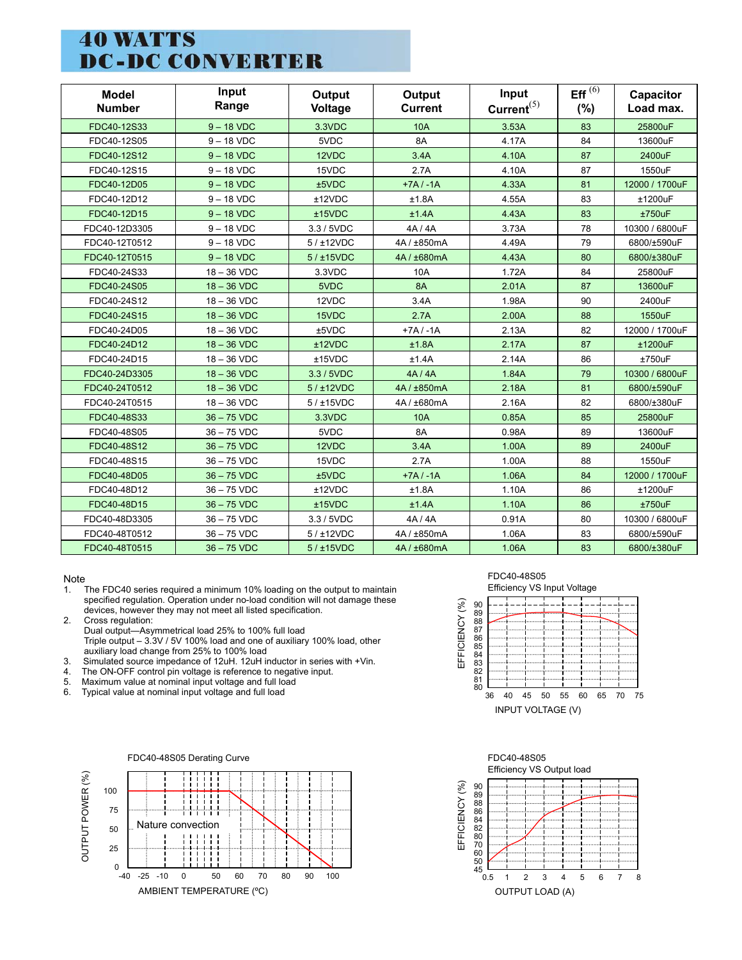## **40 WATTS DC-DC CONVERTER**

| <b>Model</b><br><b>Number</b> | Input<br>Range | Output<br>Voltage | Output<br><b>Current</b> | Input<br>Current <sup>(5)</sup> | Eff $^{(6)}$<br>$(\% )$ | Capacitor<br>Load max. |
|-------------------------------|----------------|-------------------|--------------------------|---------------------------------|-------------------------|------------------------|
| FDC40-12S33                   | $9 - 18$ VDC   | 3.3VDC            | <b>10A</b>               | 3.53A                           | 83                      | 25800uF                |
| FDC40-12S05                   | $9 - 18$ VDC   | 5VDC              | 8A                       | 4.17A                           | 84                      | 13600uF                |
| FDC40-12S12                   | $9 - 18$ VDC   | 12VDC             | 3.4A                     | 4.10A                           | 87                      | 2400uF                 |
| FDC40-12S15                   | $9 - 18$ VDC   | 15VDC             | 2.7A                     | 4.10A                           | 87                      | 1550uF                 |
| FDC40-12D05                   | $9 - 18$ VDC   | ±5VDC             | $+7A/ -1A$               | 4.33A                           | 81                      | 12000 / 1700uF         |
| FDC40-12D12                   | $9 - 18$ VDC   | ±12VDC            | ±1.8A                    | 4.55A                           | 83                      | ±1200uF                |
| FDC40-12D15                   | $9 - 18$ VDC   | ±15VDC            | ±1.4A                    | 4.43A                           | 83                      | ±750uF                 |
| FDC40-12D3305                 | $9 - 18$ VDC   | 3.3 / 5VDC        | 4A/4A                    | 3.73A                           | 78                      | 10300 / 6800uF         |
| FDC40-12T0512                 | $9 - 18$ VDC   | 5/112VDC          | 4A/±850mA                | 4.49A                           | 79                      | 6800/±590uF            |
| FDC40-12T0515                 | $9 - 18$ VDC   | 5/115VDC          | 4A/±680mA                | 4.43A                           | 80                      | 6800/±380uF            |
| FDC40-24S33                   | $18 - 36$ VDC  | 3.3VDC            | 10A                      | 1.72A                           | 84                      | 25800uF                |
| FDC40-24S05                   | $18 - 36$ VDC  | 5VDC              | <b>8A</b>                | 2.01A                           | 87                      | 13600uF                |
| FDC40-24S12                   | $18 - 36$ VDC  | 12VDC             | 3.4A                     | 1.98A                           | 90                      | 2400uF                 |
| FDC40-24S15                   | $18 - 36$ VDC  | 15VDC             | 2.7A                     | 2.00A                           | 88                      | 1550uF                 |
| FDC40-24D05                   | $18 - 36$ VDC  | ±5VDC             | $+7A/ -1A$               | 2.13A                           | 82                      | 12000 / 1700uF         |
| FDC40-24D12                   | $18 - 36$ VDC  | ±12VDC            | ±1.8A                    | 2.17A                           | 87                      | ±1200uF                |
| FDC40-24D15                   | $18 - 36$ VDC  | ±15VDC            | ±1.4A                    | 2.14A                           | 86                      | $±750$ uF              |
| FDC40-24D3305                 | $18 - 36$ VDC  | 3.3 / 5VDC        | 4A/4A                    | 1.84A                           | 79                      | 10300 / 6800uF         |
| FDC40-24T0512                 | $18 - 36$ VDC  | 5/±12VDC          | 4A / ±850mA              | 2.18A                           | 81                      | 6800/±590uF            |
| FDC40-24T0515                 | $18 - 36$ VDC  | 5/115VDC          | 4A / ±680mA              | 2.16A                           | 82                      | 6800/±380uF            |
| FDC40-48S33                   | $36 - 75$ VDC  | 3.3VDC            | <b>10A</b>               | 0.85A                           | 85                      | 25800uF                |
| FDC40-48S05                   | $36 - 75$ VDC  | 5VDC              | 8A                       | 0.98A                           | 89                      | 13600uF                |
| FDC40-48S12                   | $36 - 75$ VDC  | 12VDC             | 3.4A                     | 1.00A                           | 89                      | 2400uF                 |
| FDC40-48S15                   | $36 - 75$ VDC  | 15VDC             | 2.7A                     | 1.00A                           | 88                      | 1550uF                 |
| FDC40-48D05                   | $36 - 75$ VDC  | ±5VDC             | $+7A/ -1A$               | 1.06A                           | 84                      | 12000 / 1700uF         |
| FDC40-48D12                   | $36 - 75$ VDC  | ±12VDC            | ±1.8A                    | 1.10A                           | 86                      | ±1200uF                |
| FDC40-48D15                   | $36 - 75$ VDC  | ±15VDC            | ±1.4A                    | 1.10A                           | 86                      | ±750uF                 |
| FDC40-48D3305                 | $36 - 75$ VDC  | 3.3 / 5VDC        | 4A/4A                    | 0.91A                           | 80                      | 10300 / 6800uF         |
| FDC40-48T0512                 | $36 - 75$ VDC  | 5/112VDC          | 4A/±850mA                | 1.06A                           | 83                      | 6800/±590uF            |
| FDC40-48T0515                 | $36 - 75$ VDC  | 5/115VDC          | 4A/±680mA                | 1.06A                           | 83                      | 6800/±380uF            |

Note

- 1. The FDC40 series required a minimum 10% loading on the output to maintain specified regulation. Operation under no-load condition will not damage these devices, however they may not meet all listed specification.
- 2. Cross regulation: Dual output—Asymmetrical load 25% to 100% full load Triple output – 3.3V / 5V 100% load and one of auxiliary 100% load, other auxiliary load change from 25% to 100% load
- 3. Simulated source impedance of 12uH. 12uH inductor in series with +Vin.
- 4. The ON-OFF control pin voltage is reference to negative input.<br>5. Maximum value at nominal input voltage and full load
- 5. Maximum value at nominal input voltage and full load<br>6. Typical value at nominal input voltage and full load
- Typical value at nominal input voltage and full load



#### FDC40-48S05